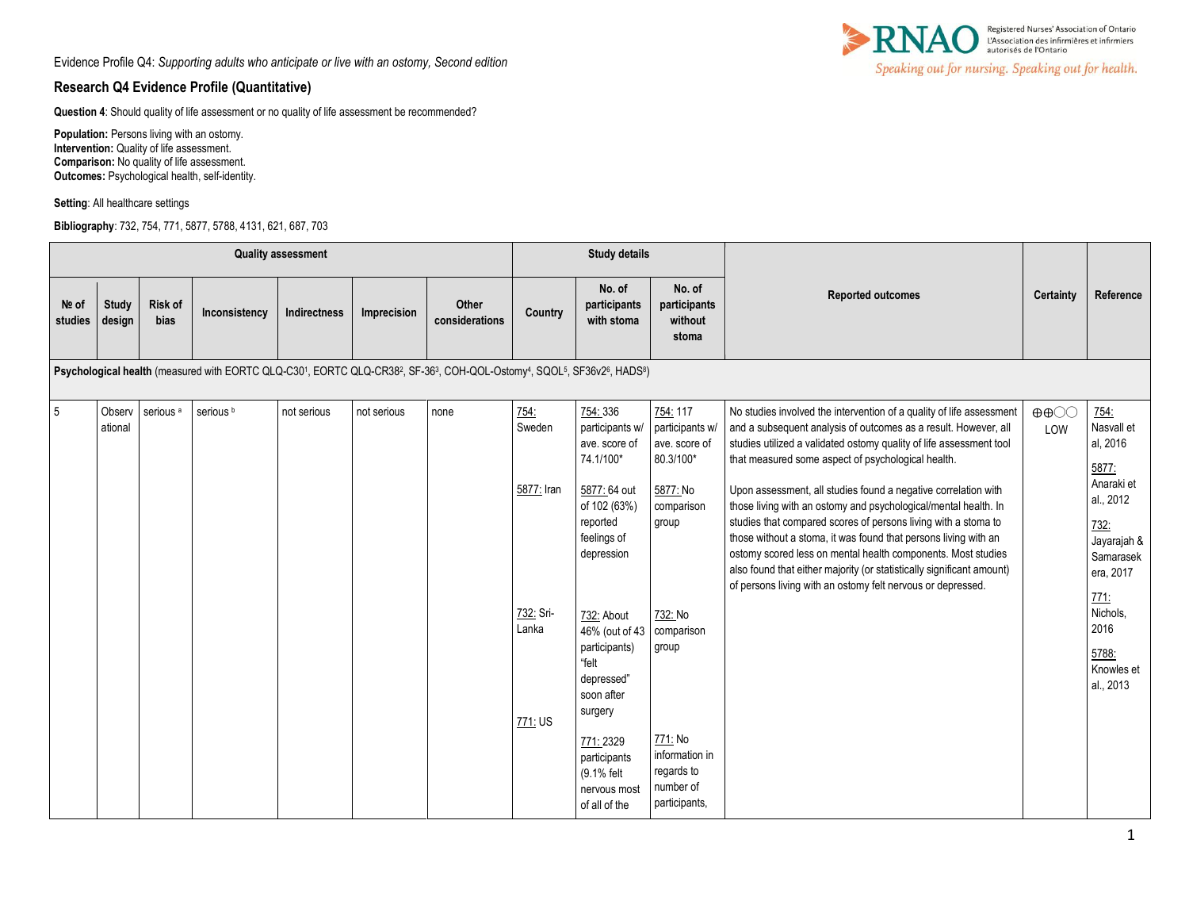## **Research Q4 Evidence Profile (Quantitative)**

**Question 4**: Should quality of life assessment or no quality of life assessment be recommended?

**Population:** Persons living with an ostomy. **Intervention:** Quality of life assessment. **Comparison:** No quality of life assessment. **Outcomes:** Psychological health, self-identity.

**Setting**: All healthcare settings

**Bibliography**: 732, 754, 771, 5877, 5788, 4131, 621, 687, 703



|                                                                                                                      |                   |                        |                      | <b>Quality assessment</b> |             |                         |                    | <b>Study details</b>                                                                          |                                                                       |                                                                                                                                                                                                                                                                                                                                                                                                                                                                                |                                    |                                                                                  |
|----------------------------------------------------------------------------------------------------------------------|-------------------|------------------------|----------------------|---------------------------|-------------|-------------------------|--------------------|-----------------------------------------------------------------------------------------------|-----------------------------------------------------------------------|--------------------------------------------------------------------------------------------------------------------------------------------------------------------------------------------------------------------------------------------------------------------------------------------------------------------------------------------------------------------------------------------------------------------------------------------------------------------------------|------------------------------------|----------------------------------------------------------------------------------|
| Nº of<br>studies                                                                                                     | Study<br>design   | <b>Risk of</b><br>bias | Inconsistency        | Indirectness              | Imprecision | Other<br>considerations | Country            | No. of<br>participants<br>with stoma                                                          | No. of<br>participants<br>without<br>stoma                            | <b>Reported outcomes</b>                                                                                                                                                                                                                                                                                                                                                                                                                                                       | Certainty                          | Reference                                                                        |
| Psychological health (measured with EORTC QLQ-C301, EORTC QLQ-CR382, SF-363, COH-QOL-Ostomy4, SQOL5, SF36v26, HADS8) |                   |                        |                      |                           |             |                         |                    |                                                                                               |                                                                       |                                                                                                                                                                                                                                                                                                                                                                                                                                                                                |                                    |                                                                                  |
| 5                                                                                                                    | Observ<br>ational | serious <sup>a</sup>   | serious <sup>b</sup> | not serious               | not serious | none                    | 754<br>Sweden      | 754:336<br>participants w/<br>ave. score of<br>74.1/100*                                      | 754: 117<br>participants w<br>ave. score of<br>80.3/100*              | No studies involved the intervention of a quality of life assessment<br>and a subsequent analysis of outcomes as a result. However, all<br>studies utilized a validated ostomy quality of life assessment tool<br>that measured some aspect of psychological health.                                                                                                                                                                                                           | $\oplus \oplus \odot \odot$<br>LOW | 754:<br>Nasvall et<br>al, 2016<br>5877:                                          |
|                                                                                                                      |                   |                        |                      |                           |             |                         | 5877: Iran         | 5877: 64 out<br>of 102 (63%)<br>reported<br>feelings of<br>depression                         | 5877: No<br>comparison<br>group                                       | Upon assessment, all studies found a negative correlation with<br>those living with an ostomy and psychological/mental health. In<br>studies that compared scores of persons living with a stoma to<br>those without a stoma, it was found that persons living with an<br>ostomy scored less on mental health components. Most studies<br>also found that either majority (or statistically significant amount)<br>of persons living with an ostomy felt nervous or depressed. |                                    | Anaraki et<br>al., 2012<br>732:<br>Jayarajah &<br>Samarasek<br>era, 2017<br>771: |
|                                                                                                                      |                   |                        |                      |                           |             |                         | 732: Sri-<br>Lanka | 732: About<br>46% (out of 43 comparison<br>participants)<br>"felt<br>depressed"<br>soon after | 732: No<br>group                                                      |                                                                                                                                                                                                                                                                                                                                                                                                                                                                                |                                    | Nichols,<br>2016<br>5788:<br>Knowles et<br>al., 2013                             |
|                                                                                                                      |                   |                        |                      |                           |             |                         | 771: US            | surgery<br>771: 2329<br>participants<br>(9.1% felt<br>nervous most<br>of all of the           | 771: No<br>information in<br>regards to<br>number of<br>participants, |                                                                                                                                                                                                                                                                                                                                                                                                                                                                                |                                    |                                                                                  |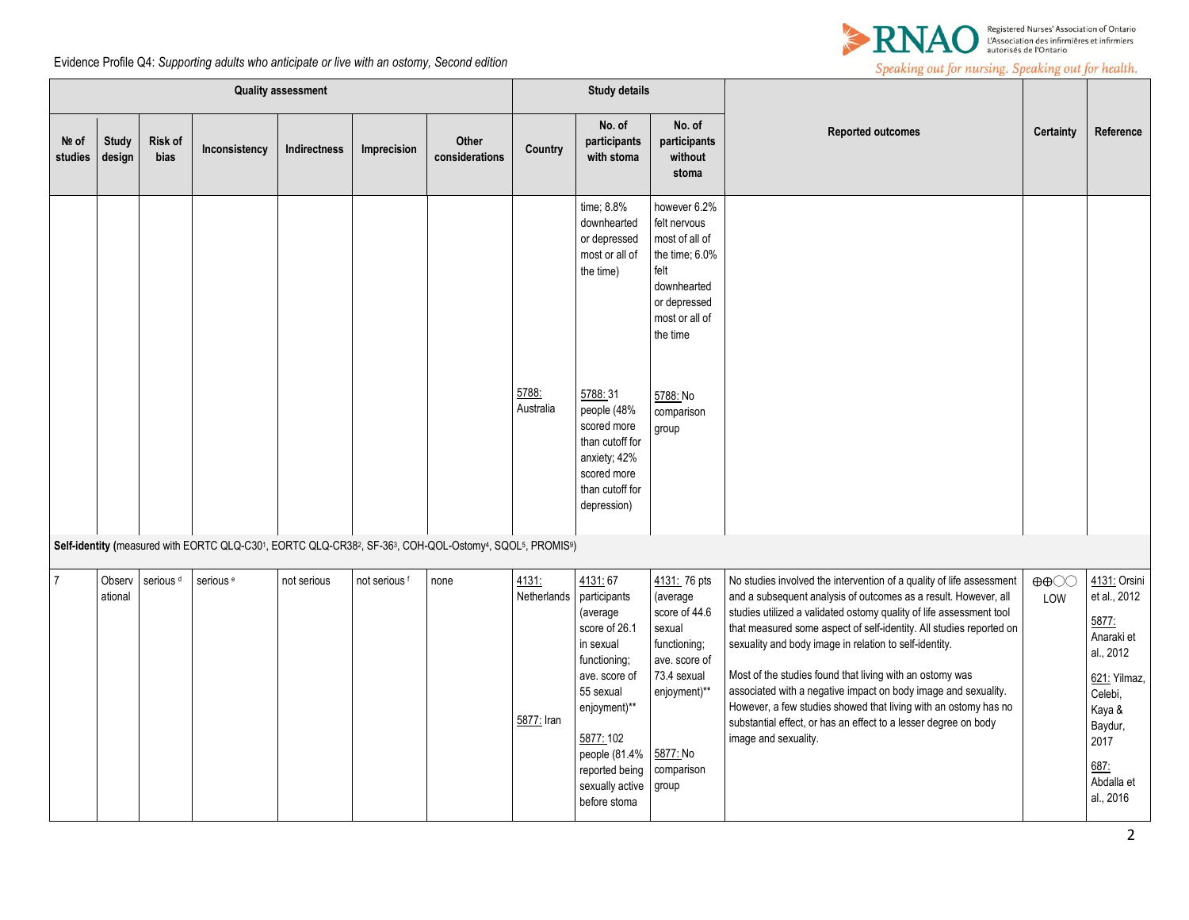

Evidence Profile Q4: *Supporting adults who anticipate or live with an ostomy, Second edition*

|                  | <b>Quality assessment</b><br><b>Study details</b> |                        |                      |              |               |                                                                                                        |                                    |                                                                                                                                                               |                                                                                                                                       |                                                                                                                                                                                                                                                                                                                                                                                                                                                                                                                                                                                                                                             |                                          |                                                                                                                                  |
|------------------|---------------------------------------------------|------------------------|----------------------|--------------|---------------|--------------------------------------------------------------------------------------------------------|------------------------------------|---------------------------------------------------------------------------------------------------------------------------------------------------------------|---------------------------------------------------------------------------------------------------------------------------------------|---------------------------------------------------------------------------------------------------------------------------------------------------------------------------------------------------------------------------------------------------------------------------------------------------------------------------------------------------------------------------------------------------------------------------------------------------------------------------------------------------------------------------------------------------------------------------------------------------------------------------------------------|------------------------------------------|----------------------------------------------------------------------------------------------------------------------------------|
| Nº of<br>studies | <b>Study</b><br>design                            | <b>Risk of</b><br>bias | Inconsistency        | Indirectness | Imprecision   | <b>Other</b><br>considerations                                                                         | Country                            | No. of<br>participants<br>with stoma                                                                                                                          | No. of<br>participants<br>without<br>stoma                                                                                            | <b>Reported outcomes</b>                                                                                                                                                                                                                                                                                                                                                                                                                                                                                                                                                                                                                    | Certainty                                | Reference                                                                                                                        |
|                  |                                                   |                        |                      |              |               |                                                                                                        |                                    | time; 8.8%<br>downhearted<br>or depressed<br>most or all of<br>the time)                                                                                      | however 6.2%<br>felt nervous<br>most of all of<br>the time; 6.0%<br>felt<br>downhearted<br>or depressed<br>most or all of<br>the time |                                                                                                                                                                                                                                                                                                                                                                                                                                                                                                                                                                                                                                             |                                          |                                                                                                                                  |
|                  |                                                   |                        |                      |              |               |                                                                                                        | 5788:<br>Australia                 | 5788:31<br>people (48%<br>scored more<br>than cutoff for<br>anxiety; 42%<br>scored more<br>than cutoff for<br>depression)                                     | 5788: No<br>comparison<br>group                                                                                                       |                                                                                                                                                                                                                                                                                                                                                                                                                                                                                                                                                                                                                                             |                                          |                                                                                                                                  |
|                  |                                                   |                        |                      |              |               | Self-identity (measured with EORTC QLQ-C301, EORTC QLQ-CR382, SF-363, COH-QOL-Ostomy4, SQOL5, PROMIS9) |                                    |                                                                                                                                                               |                                                                                                                                       |                                                                                                                                                                                                                                                                                                                                                                                                                                                                                                                                                                                                                                             |                                          |                                                                                                                                  |
| $\overline{7}$   | Observ<br>ational                                 | serious <sup>d</sup>   | serious <sup>e</sup> | not serious  | not serious f | none                                                                                                   | 4131:<br>Netherlands<br>5877: Iran | 4131:67<br>participants<br>(average<br>score of 26.1<br>in sexual<br>functioning;<br>ave. score of<br>55 sexual<br>enjoyment)**<br>5877: 102<br>people (81.4% | 4131: 76 pts<br>(average<br>score of 44.6<br>sexual<br>functioning;<br>ave. score of<br>73.4 sexual<br>enjoyment)**<br>5877: No       | No studies involved the intervention of a quality of life assessment<br>and a subsequent analysis of outcomes as a result. However, all<br>studies utilized a validated ostomy quality of life assessment tool<br>that measured some aspect of self-identity. All studies reported on<br>sexuality and body image in relation to self-identity.<br>Most of the studies found that living with an ostomy was<br>associated with a negative impact on body image and sexuality.<br>However, a few studies showed that living with an ostomy has no<br>substantial effect, or has an effect to a lesser degree on body<br>image and sexuality. | $\oplus \oplus \bigcirc \bigcirc$<br>LOW | 4131: Orsini<br>et al., 2012<br>5877:<br>Anaraki et<br>al., 2012<br>621: Yilmaz,<br>Celebi,<br>Kaya &<br>Baydur,<br>2017<br>687: |
|                  |                                                   |                        |                      |              |               |                                                                                                        |                                    | reported being<br>sexually active<br>before stoma                                                                                                             | comparison<br>group                                                                                                                   |                                                                                                                                                                                                                                                                                                                                                                                                                                                                                                                                                                                                                                             |                                          | Abdalla et<br>al., 2016                                                                                                          |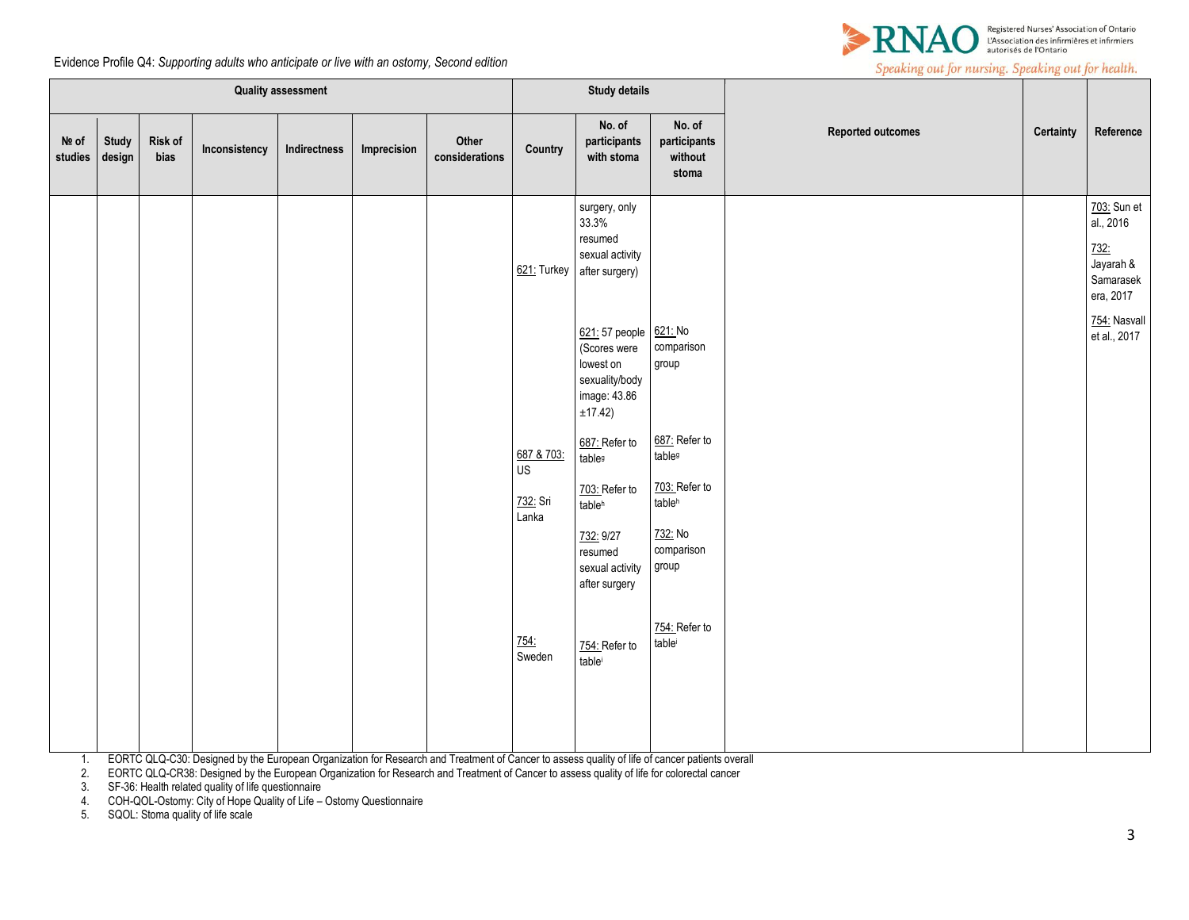



|                  |                 |                 |               | <b>Quality assessment</b> |             |                         |                                       | <b>Study details</b>                                                                                                                                                                        |                                                                                 |                          |           |                                                                                                         |
|------------------|-----------------|-----------------|---------------|---------------------------|-------------|-------------------------|---------------------------------------|---------------------------------------------------------------------------------------------------------------------------------------------------------------------------------------------|---------------------------------------------------------------------------------|--------------------------|-----------|---------------------------------------------------------------------------------------------------------|
| Nº of<br>studies | Study<br>design | Risk of<br>bias | Inconsistency | Indirectness              | Imprecision | Other<br>considerations | Country                               | No. of<br>participants<br>with stoma                                                                                                                                                        | No. of<br>participants<br>without<br>stoma                                      | <b>Reported outcomes</b> | Certainty | Reference                                                                                               |
|                  |                 |                 |               |                           |             |                         | 621: Turkey                           | surgery, only<br>33.3%<br>resumed<br>sexual activity<br>after surgery)<br>621: 57 people 621: No<br>(Scores were<br>lowest on<br>sexuality/body<br>image: 43.86<br>±17.42)<br>687: Refer to | comparison<br>group<br>687: Refer to                                            |                          |           | 703: Sun et<br>al., 2016<br>732:<br>Jayarah &<br>Samarasek<br>era, 2017<br>754: Nasvall<br>et al., 2017 |
|                  |                 |                 |               |                           |             |                         | 687 & 703:<br>US<br>732: Sri<br>Lanka | table <sup>g</sup><br>703: Refer to<br>tableh<br>732: 9/27<br>resumed<br>sexual activity<br>after surgery                                                                                   | table <sup>g</sup><br>703: Refer to<br>tableh<br>732: No<br>comparison<br>group |                          |           |                                                                                                         |
|                  |                 |                 |               |                           |             |                         | 754:<br>Sweden                        | 754: Refer to<br>table                                                                                                                                                                      | 754: Refer to<br>tablei                                                         |                          |           |                                                                                                         |

1. EORTC QLQ-C30: Designed by the European Organization for Research and Treatment of Cancer to assess quality of life of cancer patients overall

2. EORTC QLQ-CR38: Designed by the European Organization for Research and Treatment of Cancer to assess quality of life for colorectal cancer

3. SF-36: Health related quality of life questionnaire

4. COH-QOL-Ostomy: City of Hope Quality of Life – Ostomy Questionnaire

5. SQOL: Stoma quality of life scale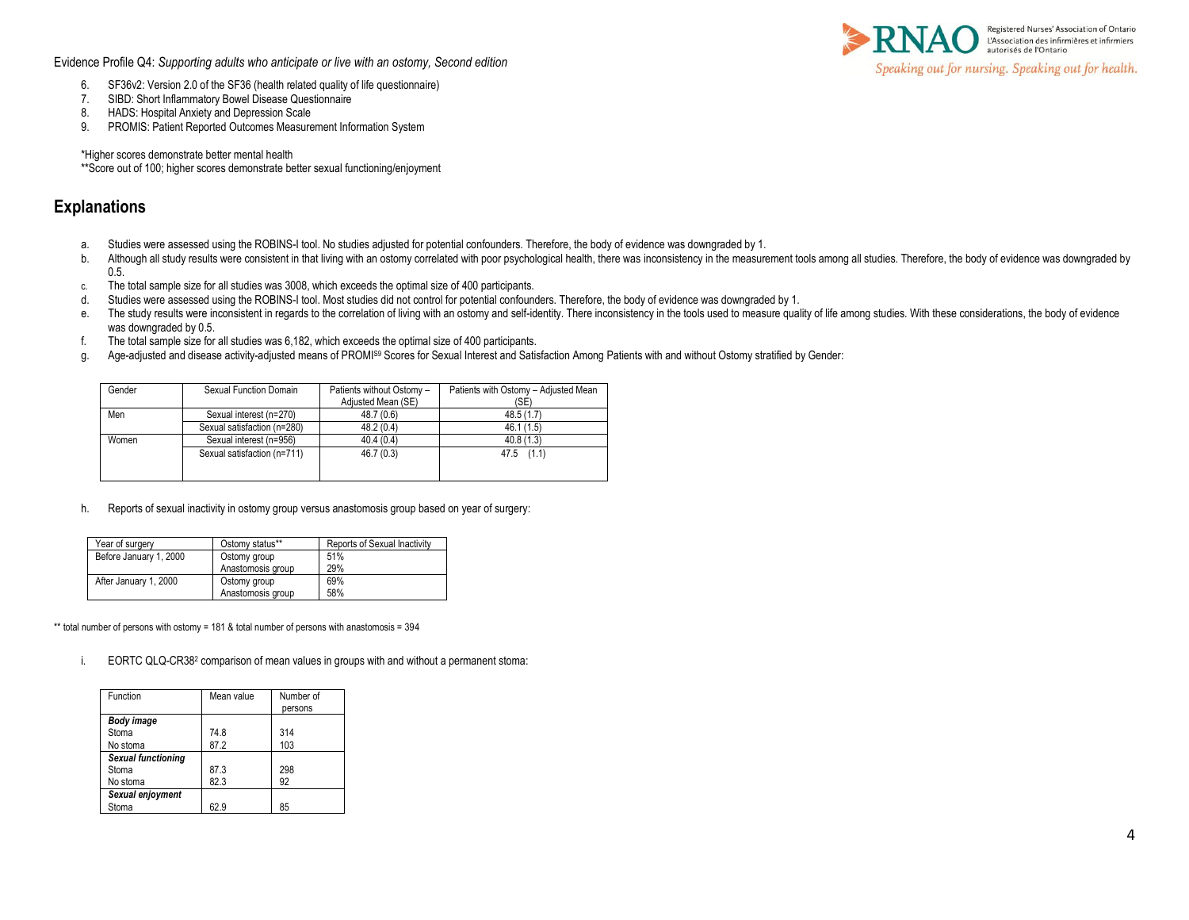Evidence Profile Q4: *Supporting adults who anticipate or live with an ostomy, Second edition*



- 6. SF36v2: Version 2.0 of the SF36 (health related quality of life questionnaire)
- 7. SIBD: Short Inflammatory Bowel Disease Questionnaire
- 8. HADS: Hospital Anxiety and Depression Scale
- 9. PROMIS: Patient Reported Outcomes Measurement Information System

\*Higher scores demonstrate better mental health

\*\*Score out of 100; higher scores demonstrate better sexual functioning/enjoyment

## **Explanations**

- a. Studies were assessed using the ROBINS-I tool. No studies adjusted for potential confounders. Therefore, the body of evidence was downgraded by 1.
- b. Although all study results were consistent in that living with an ostomy correlated with poor psychological health, there was inconsistency in the measurement tools among all studies. Therefore, the body of evidence was 0.5.
- c. The total sample size for all studies was 3008, which exceeds the optimal size of 400 participants.
- d. Studies were assessed using the ROBINS-I tool. Most studies did not control for potential confounders. Therefore, the body of evidence was downgraded by 1.
- e. The study results were inconsistent in regards to the correlation of living with an ostomy and self-identity. There inconsistency in the tools used to measure quality of life among studies. With these considerations, th was downgraded by 0.5.
- f. The total sample size for all studies was 6,182, which exceeds the optimal size of 400 participants.
- g. Age-adjusted and disease activity-adjusted means of PROMI<sup>S9</sup> Scores for Sexual Interest and Satisfaction Among Patients with and without Ostomy stratified by Gender:

| Gender | Sexual Function Domain      | Patients without Ostomy -<br>Adjusted Mean (SE) | Patients with Ostomy - Adjusted Mean<br>(SE) |
|--------|-----------------------------|-------------------------------------------------|----------------------------------------------|
| Men    | Sexual interest (n=270)     | 48.7 (0.6)                                      | 48.5(1.7)                                    |
|        | Sexual satisfaction (n=280) | 48.2(0.4)                                       | 46.1 (1.5)                                   |
| Women  | Sexual interest (n=956)     | 40.4(0.4)                                       | 40.8(1.3)                                    |
|        | Sexual satisfaction (n=711) | 46.7(0.3)                                       | $47.5$ $(1.1)$                               |
|        |                             |                                                 |                                              |
|        |                             |                                                 |                                              |

h. Reports of sexual inactivity in ostomy group versus anastomosis group based on year of surgery:

| Year of surgery        | Ostomy status**   | Reports of Sexual Inactivity |
|------------------------|-------------------|------------------------------|
| Before January 1, 2000 | Ostomy group      | 51%                          |
|                        | Anastomosis group | 29%                          |
| After January 1, 2000  | Ostomy group      | 69%                          |
|                        | Anastomosis group | 58%                          |

\*\* total number of persons with ostomy = 181 & total number of persons with anastomosis = 394

i. EORTC QLQ-CR38<sup>2</sup> comparison of mean values in groups with and without a permanent stoma:

| Function                  | Mean value | Number of |
|---------------------------|------------|-----------|
|                           |            | persons   |
| Body image                |            |           |
| Stoma                     | 74.8       | 314       |
| No stoma                  | 87.2       | 103       |
| <b>Sexual functioning</b> |            |           |
| Stoma                     | 87.3       | 298       |
| No stoma                  | 82.3       | 92        |
| Sexual enjoyment          |            |           |
| Stoma                     | 62.9       | 85        |